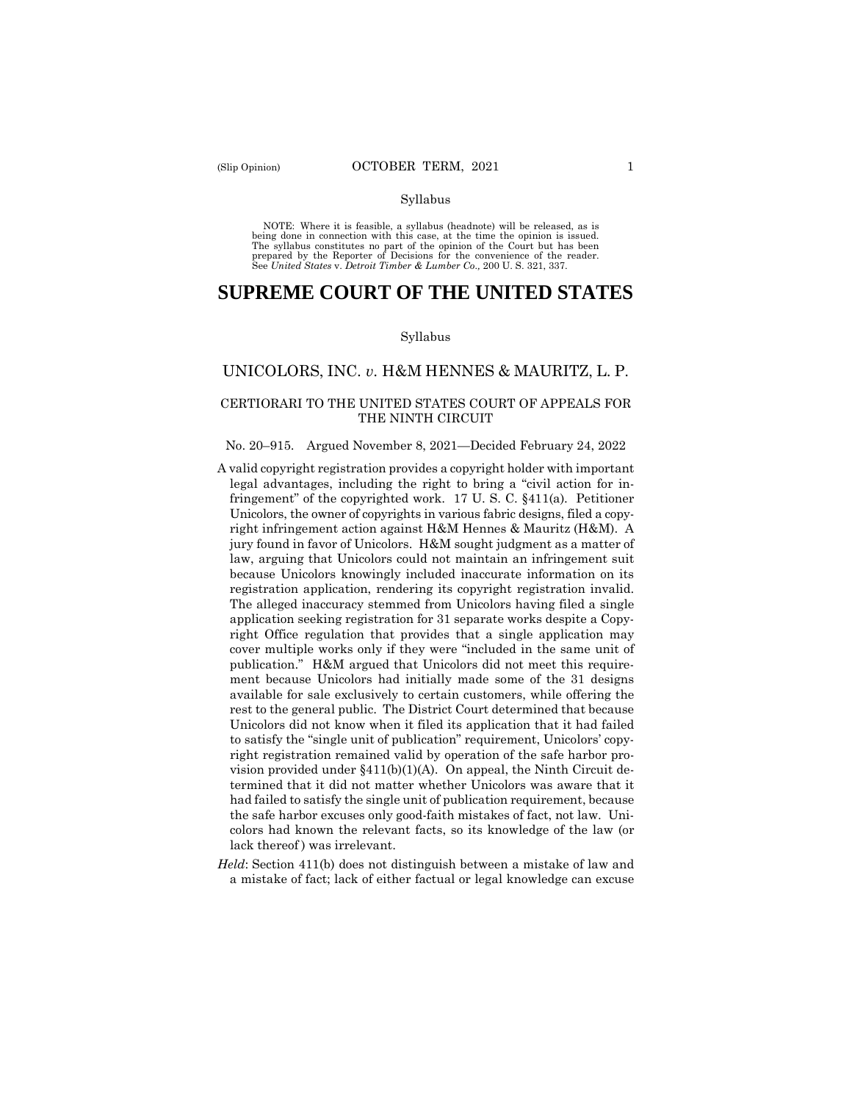#### Syllabus

NOTE: Where it is feasible, a syllabus (headnote) will be released, as is being done in connection with this case, at the time the opinion is issued. The syllabus constitutes no part of the opinion of the Court but has been<br>prepared by the Reporter of Decisions for the convenience of the reader.<br>See United States v. Detroit Timber & Lumber Co., 200 U.S. 321, 337.

# **SUPREME COURT OF THE UNITED STATES**

#### Syllabus

# UNICOLORS, INC. *v*. H&M HENNES & MAURITZ, L. P.

# CERTIORARI TO THE UNITED STATES COURT OF APPEALS FOR THE NINTH CIRCUIT

#### No. 20–915. Argued November 8, 2021—Decided February 24, 2022

- A valid copyright registration provides a copyright holder with important legal advantages, including the right to bring a "civil action for infringement" of the copyrighted work. 17 U. S. C. §411(a). Petitioner Unicolors, the owner of copyrights in various fabric designs, filed a copyright infringement action against H&M Hennes & Mauritz (H&M). A jury found in favor of Unicolors. H&M sought judgment as a matter of law, arguing that Unicolors could not maintain an infringement suit because Unicolors knowingly included inaccurate information on its registration application, rendering its copyright registration invalid. The alleged inaccuracy stemmed from Unicolors having filed a single application seeking registration for 31 separate works despite a Copyright Office regulation that provides that a single application may cover multiple works only if they were "included in the same unit of publication." H&M argued that Unicolors did not meet this requirement because Unicolors had initially made some of the 31 designs available for sale exclusively to certain customers, while offering the rest to the general public. The District Court determined that because Unicolors did not know when it filed its application that it had failed to satisfy the "single unit of publication" requirement, Unicolors' copyright registration remained valid by operation of the safe harbor provision provided under §411(b)(1)(A). On appeal, the Ninth Circuit determined that it did not matter whether Unicolors was aware that it had failed to satisfy the single unit of publication requirement, because the safe harbor excuses only good-faith mistakes of fact, not law. Unicolors had known the relevant facts, so its knowledge of the law (or lack thereof ) was irrelevant.
- *Held*: Section 411(b) does not distinguish between a mistake of law and a mistake of fact; lack of either factual or legal knowledge can excuse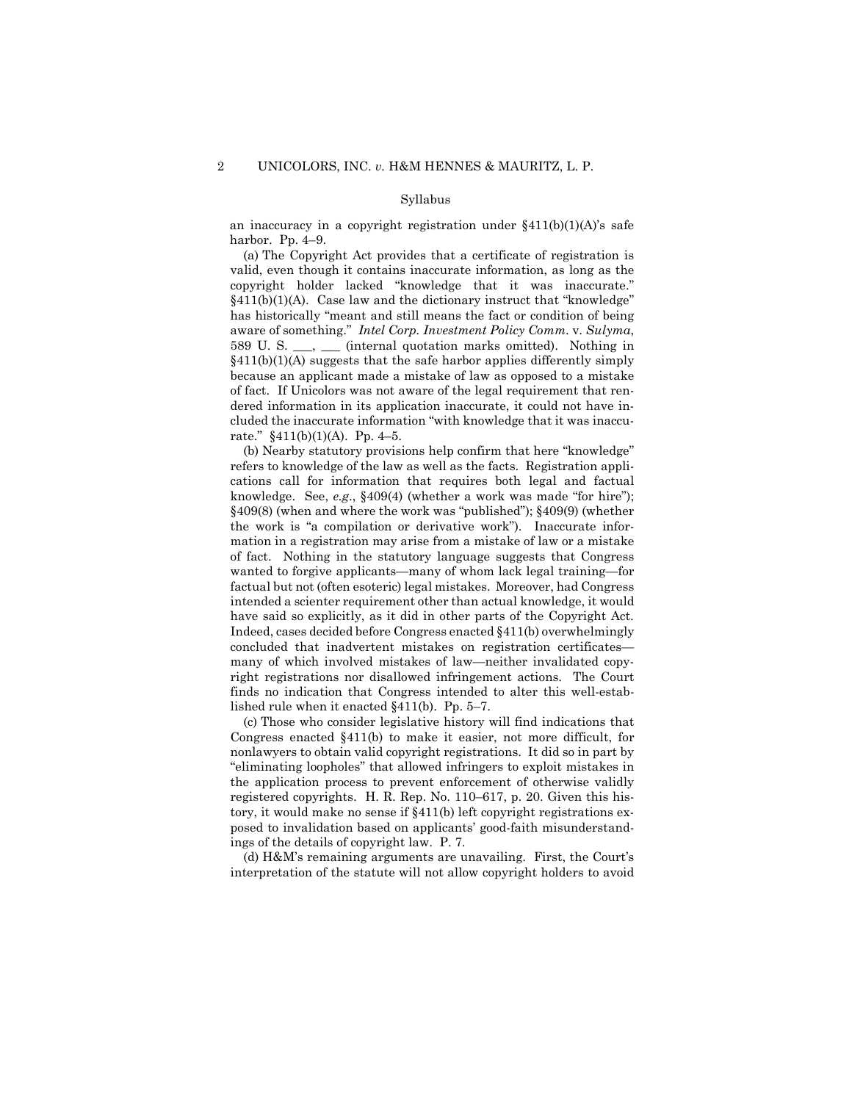#### Syllabus

an inaccuracy in a copyright registration under  $§411(b)(1)(A)$ 's safe harbor. Pp. 4–9.

 (a) The Copyright Act provides that a certificate of registration is valid, even though it contains inaccurate information, as long as the copyright holder lacked "knowledge that it was inaccurate."  $§411(b)(1)(A)$ . Case law and the dictionary instruct that "knowledge" has historically "meant and still means the fact or condition of being aware of something." *Intel Corp. Investment Policy Comm*. v. *Sulyma*, 589 U. S. \_\_\_, \_\_\_ (internal quotation marks omitted). Nothing in §411(b)(1)(A) suggests that the safe harbor applies differently simply because an applicant made a mistake of law as opposed to a mistake of fact. If Unicolors was not aware of the legal requirement that rendered information in its application inaccurate, it could not have included the inaccurate information "with knowledge that it was inaccurate."  $§411(b)(1)(A)$ . Pp. 4-5.

 (b) Nearby statutory provisions help confirm that here "knowledge" refers to knowledge of the law as well as the facts. Registration applications call for information that requires both legal and factual knowledge. See, *e.g*., §409(4) (whether a work was made "for hire"); §409(8) (when and where the work was "published"); §409(9) (whether the work is "a compilation or derivative work"). Inaccurate information in a registration may arise from a mistake of law or a mistake of fact. Nothing in the statutory language suggests that Congress wanted to forgive applicants—many of whom lack legal training—for factual but not (often esoteric) legal mistakes. Moreover, had Congress intended a scienter requirement other than actual knowledge, it would have said so explicitly, as it did in other parts of the Copyright Act. Indeed, cases decided before Congress enacted §411(b) overwhelmingly concluded that inadvertent mistakes on registration certificates many of which involved mistakes of law—neither invalidated copyright registrations nor disallowed infringement actions. The Court finds no indication that Congress intended to alter this well-established rule when it enacted §411(b). Pp. 5–7.

(c) Those who consider legislative history will find indications that Congress enacted §411(b) to make it easier, not more difficult, for nonlawyers to obtain valid copyright registrations. It did so in part by "eliminating loopholes" that allowed infringers to exploit mistakes in the application process to prevent enforcement of otherwise validly registered copyrights. H. R. Rep. No. 110–617, p. 20. Given this history, it would make no sense if §411(b) left copyright registrations exposed to invalidation based on applicants' good-faith misunderstandings of the details of copyright law. P. 7.

(d) H&M's remaining arguments are unavailing. First, the Court's interpretation of the statute will not allow copyright holders to avoid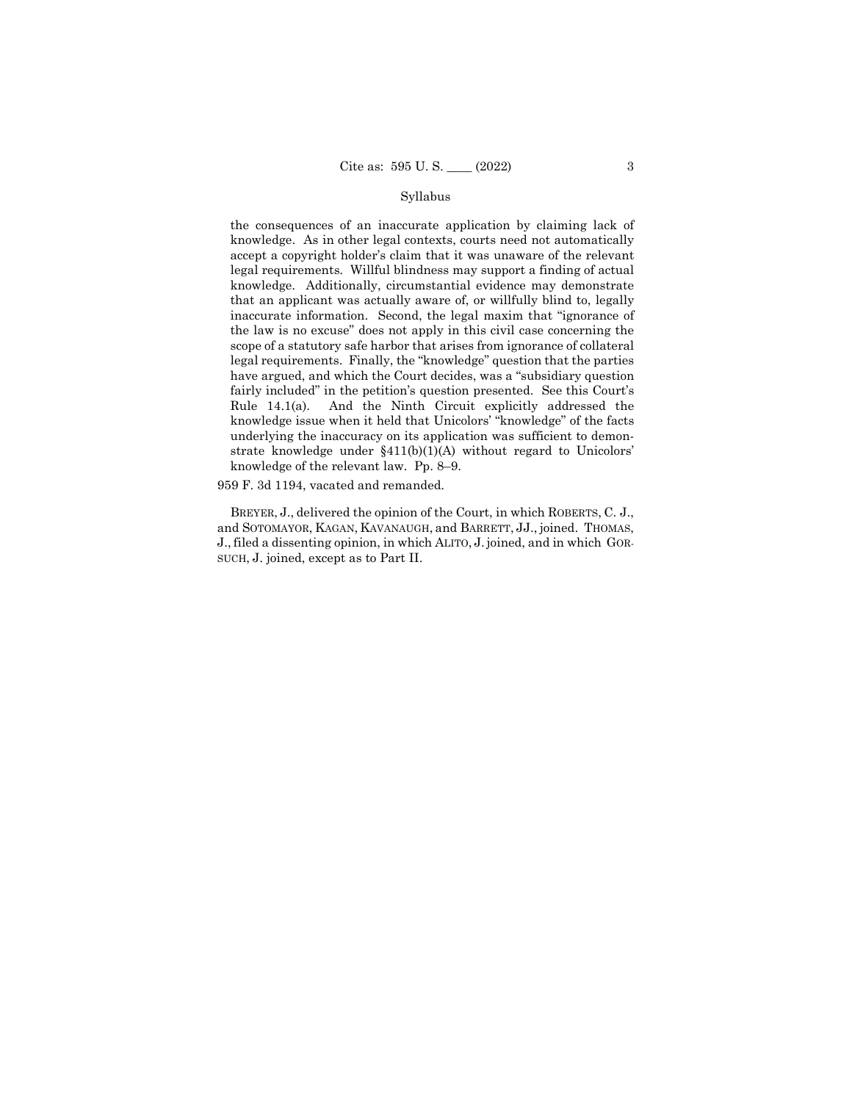#### Syllabus

the consequences of an inaccurate application by claiming lack of knowledge. As in other legal contexts, courts need not automatically accept a copyright holder's claim that it was unaware of the relevant legal requirements. Willful blindness may support a finding of actual knowledge. Additionally, circumstantial evidence may demonstrate that an applicant was actually aware of, or willfully blind to, legally inaccurate information. Second, the legal maxim that "ignorance of the law is no excuse" does not apply in this civil case concerning the scope of a statutory safe harbor that arises from ignorance of collateral legal requirements. Finally, the "knowledge" question that the parties have argued, and which the Court decides, was a "subsidiary question fairly included" in the petition's question presented. See this Court's Rule 14.1(a). And the Ninth Circuit explicitly addressed the knowledge issue when it held that Unicolors' "knowledge" of the facts underlying the inaccuracy on its application was sufficient to demonstrate knowledge under §411(b)(1)(A) without regard to Unicolors' knowledge of the relevant law. Pp. 8–9.

959 F. 3d 1194, vacated and remanded.

 BREYER, J., delivered the opinion of the Court, in which ROBERTS, C. J., and SOTOMAYOR, KAGAN, KAVANAUGH, and BARRETT, JJ., joined. THOMAS, J., filed a dissenting opinion, in which ALITO, J. joined, and in which GOR-SUCH, J. joined, except as to Part II.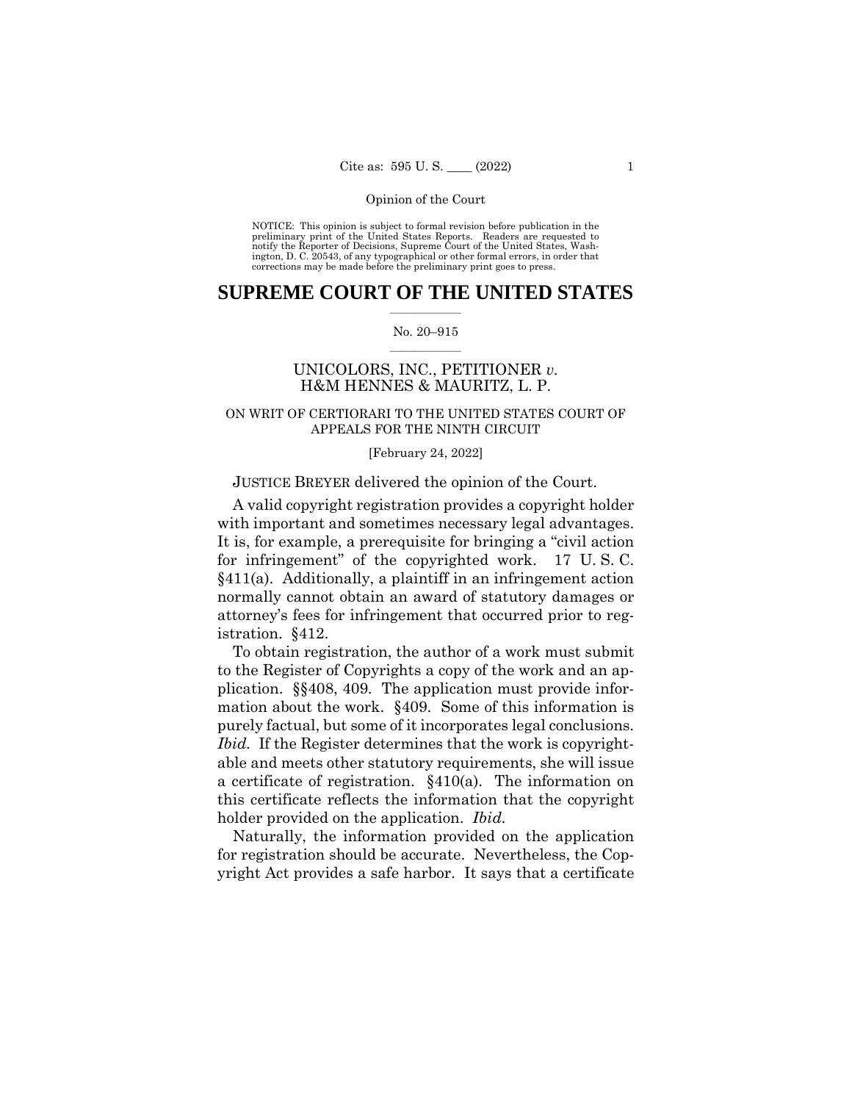NOTICE: This opinion is subject to formal revision before publication in the preliminary print of the United States Reports. Readers are requested to notify the Reporter of Decisions, Supreme Court of the United States, Washington, D. C. 20543, of any typographical or other formal errors, in order that corrections may be made before the preliminary print goes to press.

# **SUPREME COURT OF THE UNITED STATES**  $\overline{\phantom{a}}$  , where  $\overline{\phantom{a}}$

### No. 20–915  $\overline{\phantom{a}}$  , where  $\overline{\phantom{a}}$

# UNICOLORS, INC., PETITIONER *v.* H&M HENNES & MAURITZ, L. P.

# ON WRIT OF CERTIORARI TO THE UNITED STATES COURT OF APPEALS FOR THE NINTH CIRCUIT

# [February 24, 2022]

# JUSTICE BREYER delivered the opinion of the Court.

A valid copyright registration provides a copyright holder with important and sometimes necessary legal advantages. It is, for example, a prerequisite for bringing a "civil action for infringement" of the copyrighted work. 17 U. S. C.  $§411(a)$ . Additionally, a plaintiff in an infringement action normally cannot obtain an award of statutory damages or attorney's fees for infringement that occurred prior to registration. §412.

To obtain registration, the author of a work must submit to the Register of Copyrights a copy of the work and an application. §§408, 409. The application must provide information about the work. §409. Some of this information is purely factual, but some of it incorporates legal conclusions. *Ibid.* If the Register determines that the work is copyrightable and meets other statutory requirements, she will issue a certificate of registration. §410(a). The information on this certificate reflects the information that the copyright holder provided on the application. *Ibid.*

Naturally, the information provided on the application for registration should be accurate. Nevertheless, the Copyright Act provides a safe harbor. It says that a certificate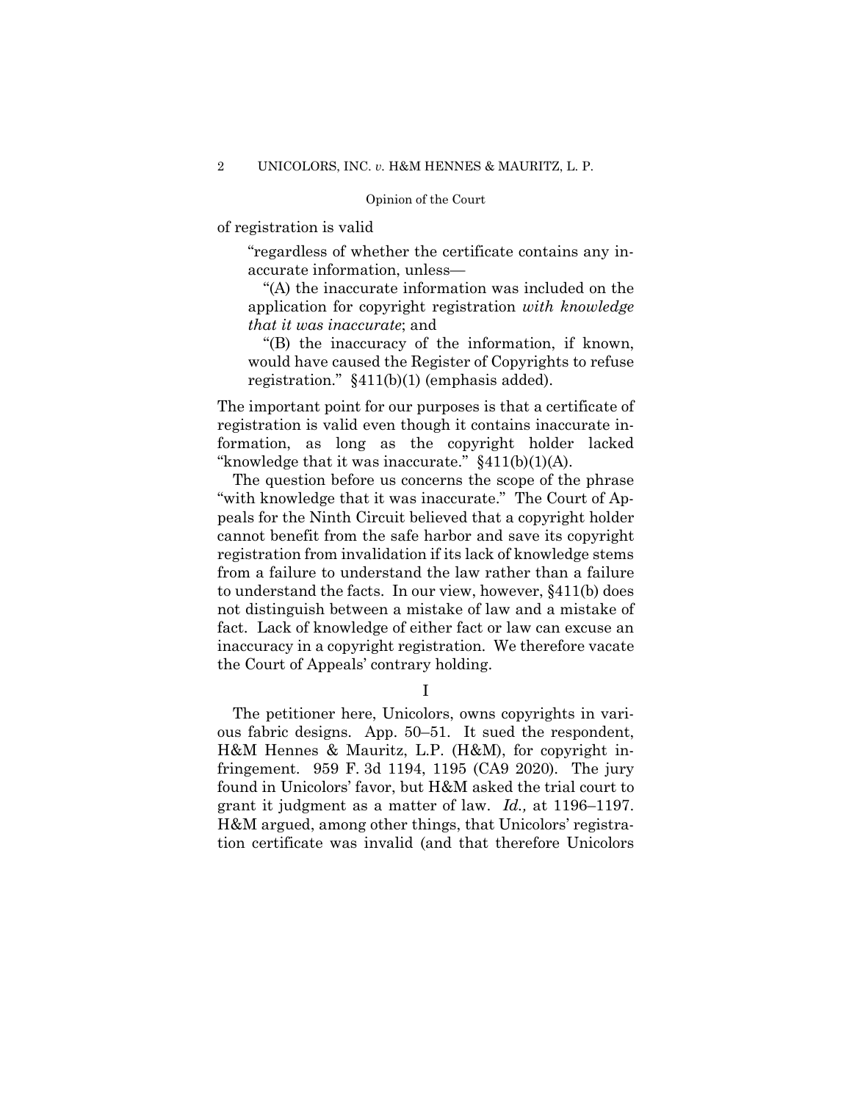of registration is valid

"regardless of whether the certificate contains any inaccurate information, unless—

"(A) the inaccurate information was included on the application for copyright registration *with knowledge that it was inaccurate*; and

"(B) the inaccuracy of the information, if known, would have caused the Register of Copyrights to refuse registration." §411(b)(1) (emphasis added).

The important point for our purposes is that a certificate of registration is valid even though it contains inaccurate information, as long as the copyright holder lacked "knowledge that it was inaccurate."  $§411(b)(1)(A)$ .

The question before us concerns the scope of the phrase "with knowledge that it was inaccurate." The Court of Appeals for the Ninth Circuit believed that a copyright holder cannot benefit from the safe harbor and save its copyright registration from invalidation if its lack of knowledge stems from a failure to understand the law rather than a failure to understand the facts. In our view, however, §411(b) does not distinguish between a mistake of law and a mistake of fact. Lack of knowledge of either fact or law can excuse an inaccuracy in a copyright registration. We therefore vacate the Court of Appeals' contrary holding.

I

The petitioner here, Unicolors, owns copyrights in various fabric designs. App. 50–51. It sued the respondent, H&M Hennes & Mauritz, L.P. (H&M), for copyright infringement. 959 F. 3d 1194, 1195 (CA9 2020). The jury found in Unicolors' favor, but H&M asked the trial court to grant it judgment as a matter of law. *Id.,* at 1196–1197. H&M argued, among other things, that Unicolors' registration certificate was invalid (and that therefore Unicolors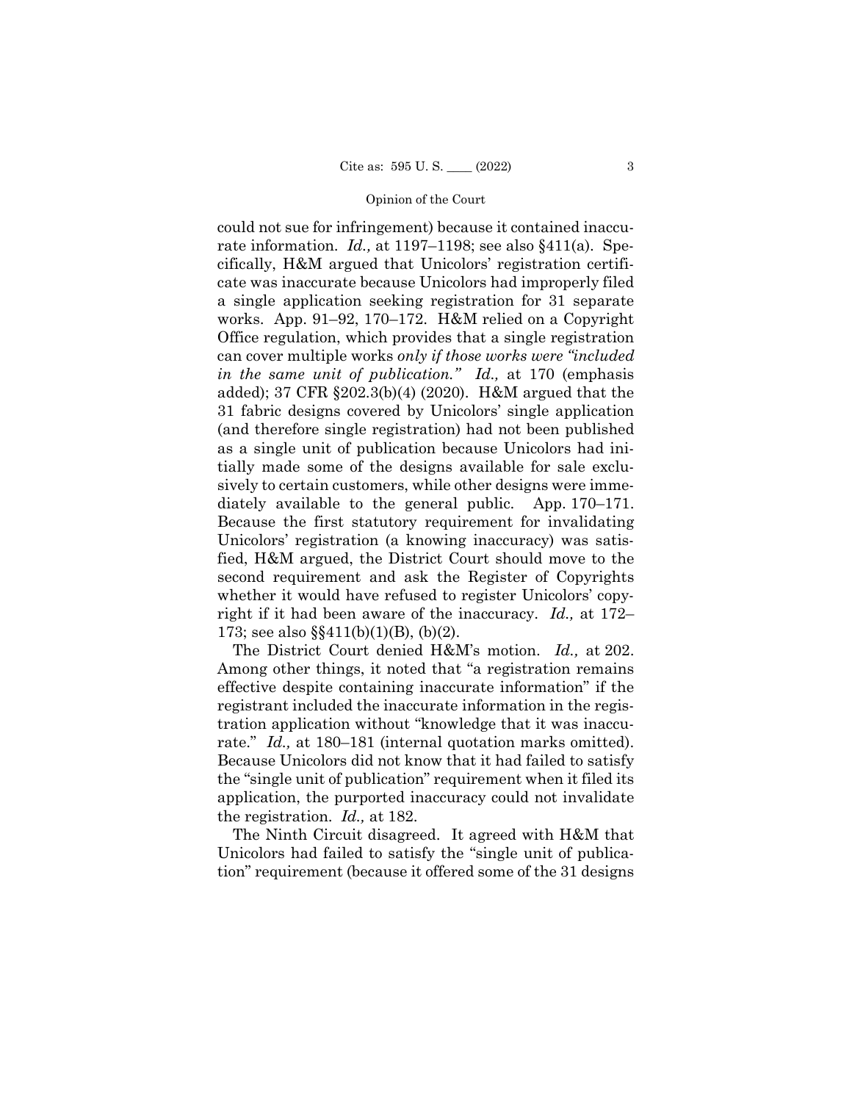could not sue for infringement) because it contained inaccurate information. *Id.,* at 1197–1198; see also §411(a). Specifically, H&M argued that Unicolors' registration certificate was inaccurate because Unicolors had improperly filed a single application seeking registration for 31 separate works. App. 91–92, 170–172. H&M relied on a Copyright Office regulation, which provides that a single registration can cover multiple works *only if those works were "included in the same unit of publication." Id.,* at 170 (emphasis added); 37 CFR §202.3(b)(4) (2020). H&M argued that the 31 fabric designs covered by Unicolors' single application (and therefore single registration) had not been published as a single unit of publication because Unicolors had initially made some of the designs available for sale exclusively to certain customers, while other designs were immediately available to the general public. App. 170–171. Because the first statutory requirement for invalidating Unicolors' registration (a knowing inaccuracy) was satisfied, H&M argued, the District Court should move to the second requirement and ask the Register of Copyrights whether it would have refused to register Unicolors' copyright if it had been aware of the inaccuracy. *Id.,* at 172– 173; see also §§411(b)(1)(B), (b)(2).

The District Court denied H&M's motion. *Id.,* at 202. Among other things, it noted that "a registration remains effective despite containing inaccurate information" if the registrant included the inaccurate information in the registration application without "knowledge that it was inaccurate." *Id.,* at 180–181 (internal quotation marks omitted). Because Unicolors did not know that it had failed to satisfy the "single unit of publication" requirement when it filed its application, the purported inaccuracy could not invalidate the registration. *Id.,* at 182.

The Ninth Circuit disagreed. It agreed with H&M that Unicolors had failed to satisfy the "single unit of publication" requirement (because it offered some of the 31 designs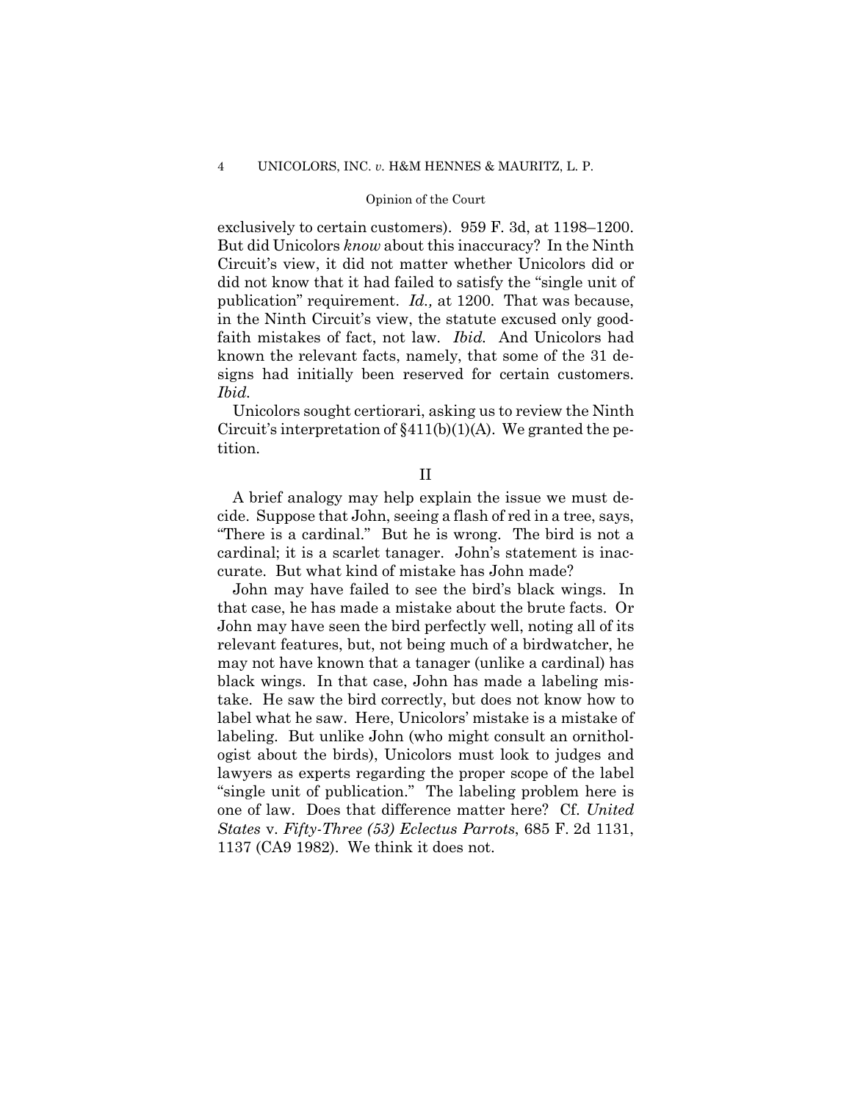exclusively to certain customers). 959 F. 3d, at 1198–1200. But did Unicolors *know* about this inaccuracy? In the Ninth Circuit's view, it did not matter whether Unicolors did or did not know that it had failed to satisfy the "single unit of publication" requirement. *Id.,* at 1200. That was because, in the Ninth Circuit's view, the statute excused only goodfaith mistakes of fact, not law. *Ibid.* And Unicolors had known the relevant facts, namely, that some of the 31 designs had initially been reserved for certain customers. *Ibid.*

Unicolors sought certiorari, asking us to review the Ninth Circuit's interpretation of  $\S411(b)(1)(A)$ . We granted the petition.

II

A brief analogy may help explain the issue we must decide. Suppose that John, seeing a flash of red in a tree, says, "There is a cardinal." But he is wrong. The bird is not a cardinal; it is a scarlet tanager. John's statement is inaccurate. But what kind of mistake has John made?

John may have failed to see the bird's black wings. In that case, he has made a mistake about the brute facts. Or John may have seen the bird perfectly well, noting all of its relevant features, but, not being much of a birdwatcher, he may not have known that a tanager (unlike a cardinal) has black wings. In that case, John has made a labeling mistake. He saw the bird correctly, but does not know how to label what he saw. Here, Unicolors' mistake is a mistake of labeling. But unlike John (who might consult an ornithologist about the birds), Unicolors must look to judges and lawyers as experts regarding the proper scope of the label "single unit of publication." The labeling problem here is one of law. Does that difference matter here? Cf. *United States* v. *Fifty-Three (53) Eclectus Parrots*, 685 F. 2d 1131, 1137 (CA9 1982). We think it does not.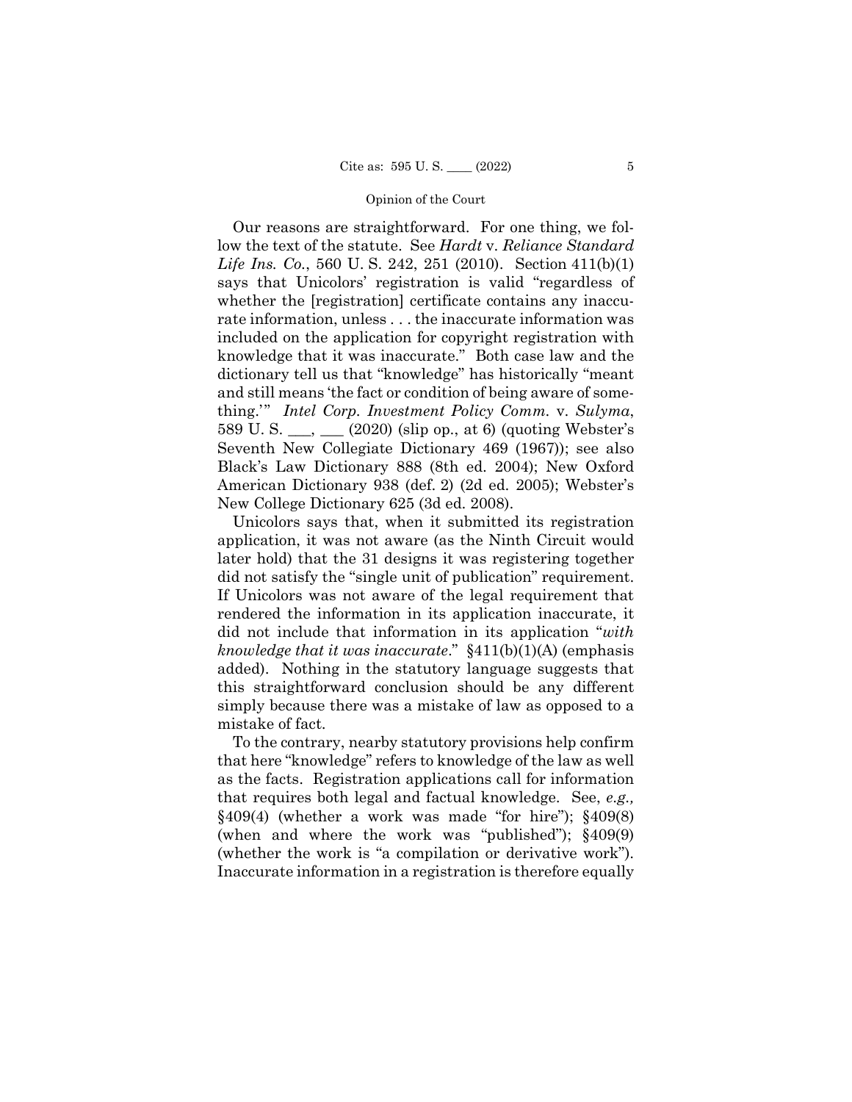Our reasons are straightforward. For one thing, we follow the text of the statute. See *Hardt* v. *Reliance Standard Life Ins. Co.*, 560 U. S. 242, 251 (2010). Section 411(b)(1) says that Unicolors' registration is valid "regardless of whether the [registration] certificate contains any inaccurate information, unless . . . the inaccurate information was included on the application for copyright registration with knowledge that it was inaccurate." Both case law and the dictionary tell us that "knowledge" has historically "meant and still means 'the fact or condition of being aware of something.'" *Intel Corp. Investment Policy Comm.* v. *Sulyma*, 589 U. S. \_\_\_, \_\_\_ (2020) (slip op., at 6) (quoting Webster's Seventh New Collegiate Dictionary 469 (1967)); see also Black's Law Dictionary 888 (8th ed. 2004); New Oxford American Dictionary 938 (def. 2) (2d ed. 2005); Webster's New College Dictionary 625 (3d ed. 2008).

 Unicolors says that, when it submitted its registration application, it was not aware (as the Ninth Circuit would later hold) that the 31 designs it was registering together did not satisfy the "single unit of publication" requirement. If Unicolors was not aware of the legal requirement that rendered the information in its application inaccurate, it did not include that information in its application "*with knowledge that it was inaccurate*." §411(b)(1)(A) (emphasis added). Nothing in the statutory language suggests that this straightforward conclusion should be any different simply because there was a mistake of law as opposed to a mistake of fact.

To the contrary, nearby statutory provisions help confirm that here "knowledge" refers to knowledge of the law as well as the facts. Registration applications call for information that requires both legal and factual knowledge. See, *e.g.,*  $§409(4)$  (whether a work was made "for hire");  $§409(8)$ (when and where the work was "published"); §409(9) (whether the work is "a compilation or derivative work"). Inaccurate information in a registration is therefore equally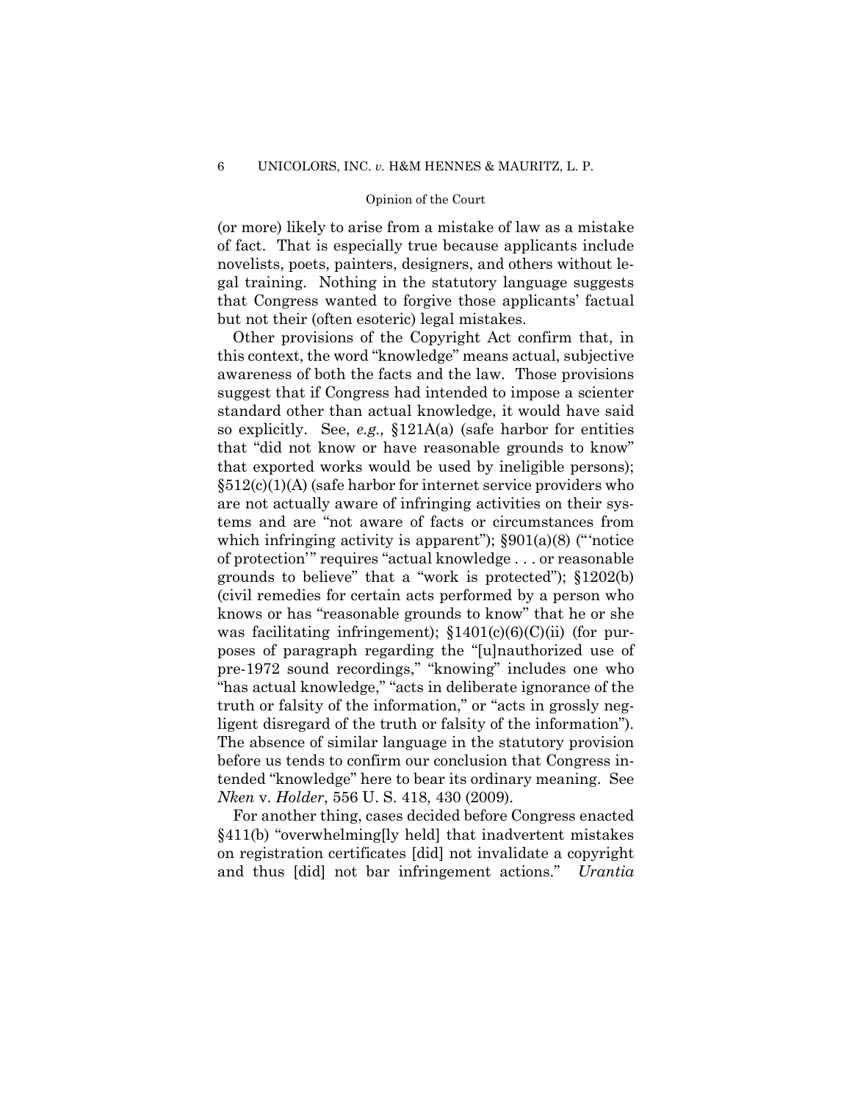(or more) likely to arise from a mistake of law as a mistake of fact. That is especially true because applicants include novelists, poets, painters, designers, and others without legal training. Nothing in the statutory language suggests that Congress wanted to forgive those applicants' factual but not their (often esoteric) legal mistakes.

Other provisions of the Copyright Act confirm that, in this context, the word "knowledge" means actual, subjective awareness of both the facts and the law. Those provisions suggest that if Congress had intended to impose a scienter standard other than actual knowledge, it would have said so explicitly. See, *e.g.,* §121A(a) (safe harbor for entities that "did not know or have reasonable grounds to know" that exported works would be used by ineligible persons);  $§512(c)(1)(A)$  (safe harbor for internet service providers who are not actually aware of infringing activities on their systems and are "not aware of facts or circumstances from which infringing activity is apparent");  $\S 901(a)(8)$  ("'notice of protection'" requires "actual knowledge . . . or reasonable grounds to believe" that a "work is protected"); §1202(b) (civil remedies for certain acts performed by a person who knows or has "reasonable grounds to know" that he or she was facilitating infringement);  $$1401(c)(6)(C)(ii)$  (for purposes of paragraph regarding the "[u]nauthorized use of pre-1972 sound recordings," "knowing" includes one who "has actual knowledge," "acts in deliberate ignorance of the truth or falsity of the information," or "acts in grossly negligent disregard of the truth or falsity of the information"). The absence of similar language in the statutory provision before us tends to confirm our conclusion that Congress intended "knowledge" here to bear its ordinary meaning. See *Nken* v. *Holder*, 556 U. S. 418, 430 (2009).

For another thing, cases decided before Congress enacted §411(b) "overwhelming[ly held] that inadvertent mistakes on registration certificates [did] not invalidate a copyright and thus [did] not bar infringement actions." *Urantia*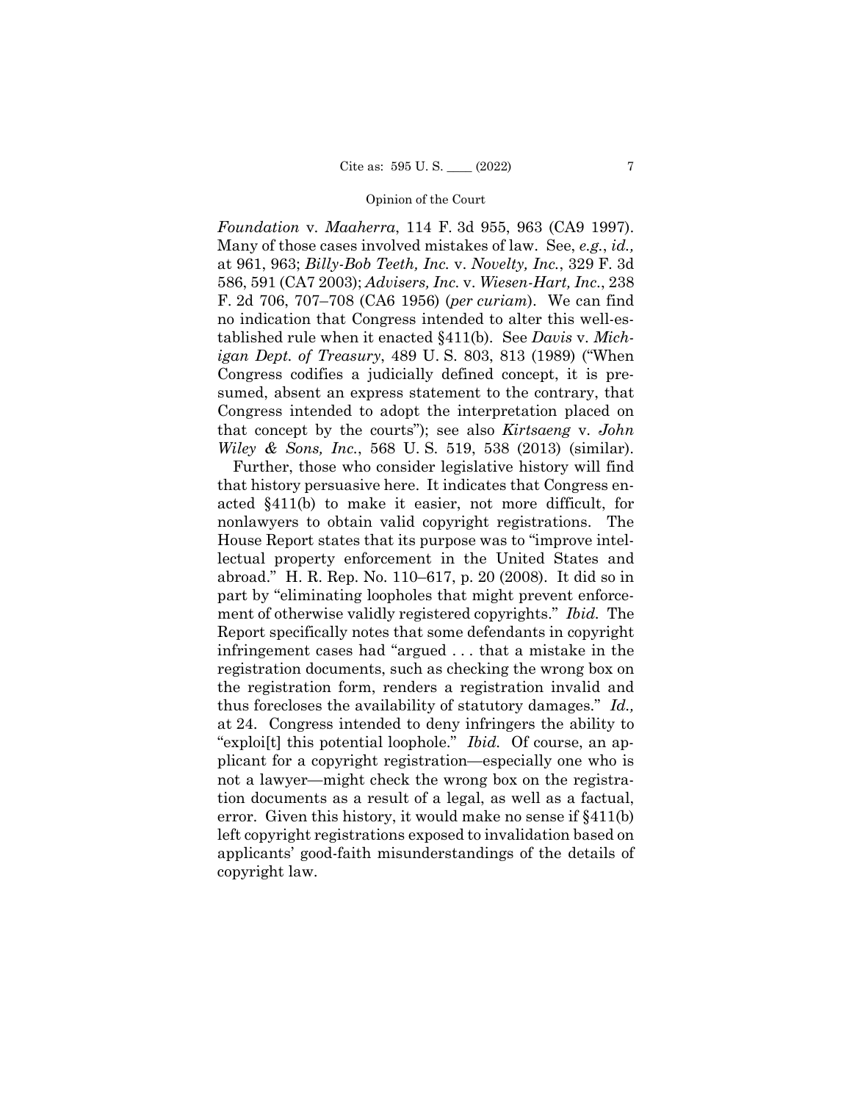*Foundation* v. *Maaherra*, 114 F. 3d 955, 963 (CA9 1997). Many of those cases involved mistakes of law. See, *e.g.*, *id.,* at 961, 963; *Billy-Bob Teeth, Inc.* v. *Novelty, Inc.*, 329 F. 3d 586, 591 (CA7 2003); *Advisers, Inc.* v. *Wiesen-Hart, Inc.*, 238 F. 2d 706, 707–708 (CA6 1956) (*per curiam*). We can find no indication that Congress intended to alter this well-established rule when it enacted §411(b). See *Davis* v. *Michigan Dept. of Treasury*, 489 U. S. 803, 813 (1989) ("When Congress codifies a judicially defined concept, it is presumed, absent an express statement to the contrary, that Congress intended to adopt the interpretation placed on that concept by the courts"); see also *Kirtsaeng* v. *John Wiley & Sons, Inc.*, 568 U. S. 519, 538 (2013) (similar).

Further, those who consider legislative history will find that history persuasive here. It indicates that Congress enacted §411(b) to make it easier, not more difficult, for nonlawyers to obtain valid copyright registrations. The House Report states that its purpose was to "improve intellectual property enforcement in the United States and abroad." H. R. Rep. No. 110–617, p. 20 (2008). It did so in part by "eliminating loopholes that might prevent enforcement of otherwise validly registered copyrights." *Ibid.* The Report specifically notes that some defendants in copyright infringement cases had "argued . . . that a mistake in the registration documents, such as checking the wrong box on the registration form, renders a registration invalid and thus forecloses the availability of statutory damages." *Id.,* at 24. Congress intended to deny infringers the ability to "exploi[t] this potential loophole." *Ibid.* Of course, an applicant for a copyright registration—especially one who is not a lawyer—might check the wrong box on the registration documents as a result of a legal, as well as a factual, error. Given this history, it would make no sense if §411(b) left copyright registrations exposed to invalidation based on applicants' good-faith misunderstandings of the details of copyright law.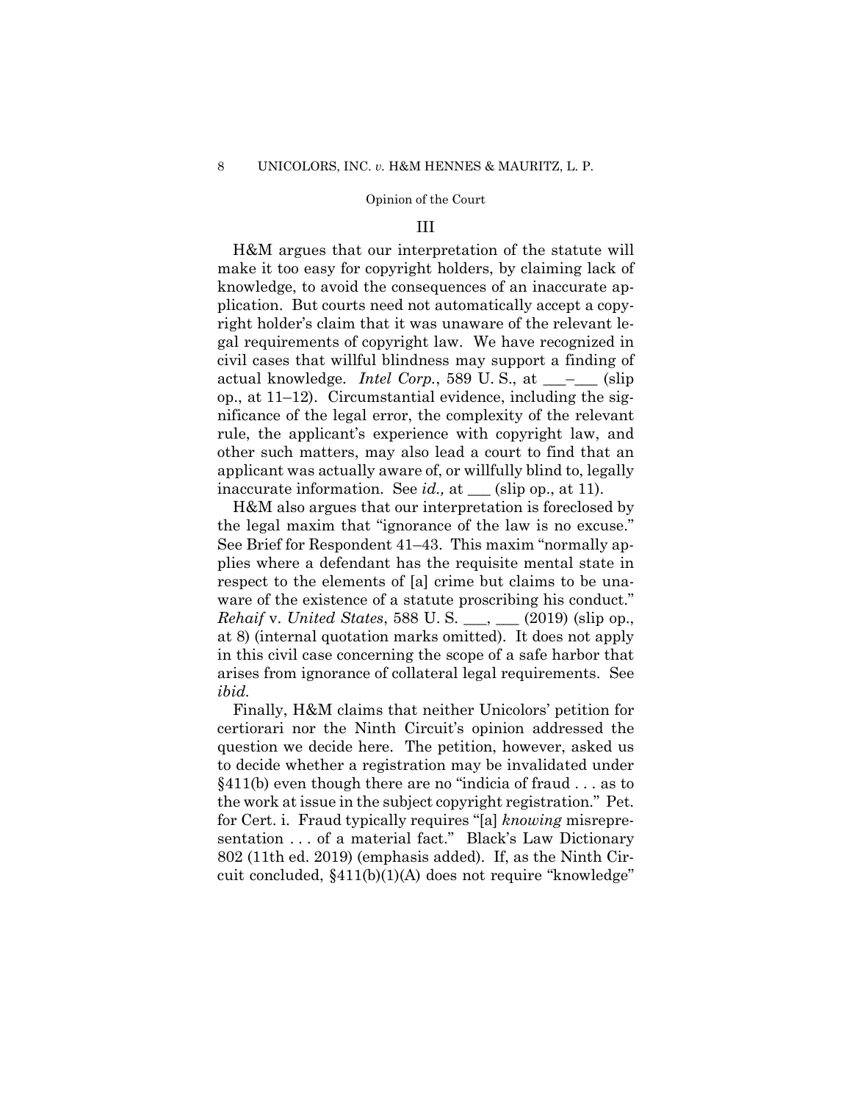### III

H&M argues that our interpretation of the statute will make it too easy for copyright holders, by claiming lack of knowledge, to avoid the consequences of an inaccurate application. But courts need not automatically accept a copyright holder's claim that it was unaware of the relevant legal requirements of copyright law. We have recognized in civil cases that willful blindness may support a finding of actual knowledge. *Intel Corp.*, 589 U.S., at \_\_\_<sup>\_</sup>\_\_\_ (slip op., at 11–12). Circumstantial evidence, including the significance of the legal error, the complexity of the relevant rule, the applicant's experience with copyright law, and other such matters, may also lead a court to find that an applicant was actually aware of, or willfully blind to, legally inaccurate information. See *id.*, at \_\_\_ (slip op., at 11).

H&M also argues that our interpretation is foreclosed by the legal maxim that "ignorance of the law is no excuse." See Brief for Respondent 41–43. This maxim "normally applies where a defendant has the requisite mental state in respect to the elements of [a] crime but claims to be unaware of the existence of a statute proscribing his conduct." *Rehaif* v. *United States*, 588 U. S. \_\_\_, \_\_\_ (2019) (slip op., at 8) (internal quotation marks omitted). It does not apply in this civil case concerning the scope of a safe harbor that arises from ignorance of collateral legal requirements. See *ibid.*

Finally, H&M claims that neither Unicolors' petition for certiorari nor the Ninth Circuit's opinion addressed the question we decide here. The petition, however, asked us to decide whether a registration may be invalidated under §411(b) even though there are no "indicia of fraud . . . as to the work at issue in the subject copyright registration." Pet. for Cert. i. Fraud typically requires "[a] *knowing* misrepresentation . . . of a material fact." Black's Law Dictionary 802 (11th ed. 2019) (emphasis added). If, as the Ninth Circuit concluded, §411(b)(1)(A) does not require "knowledge"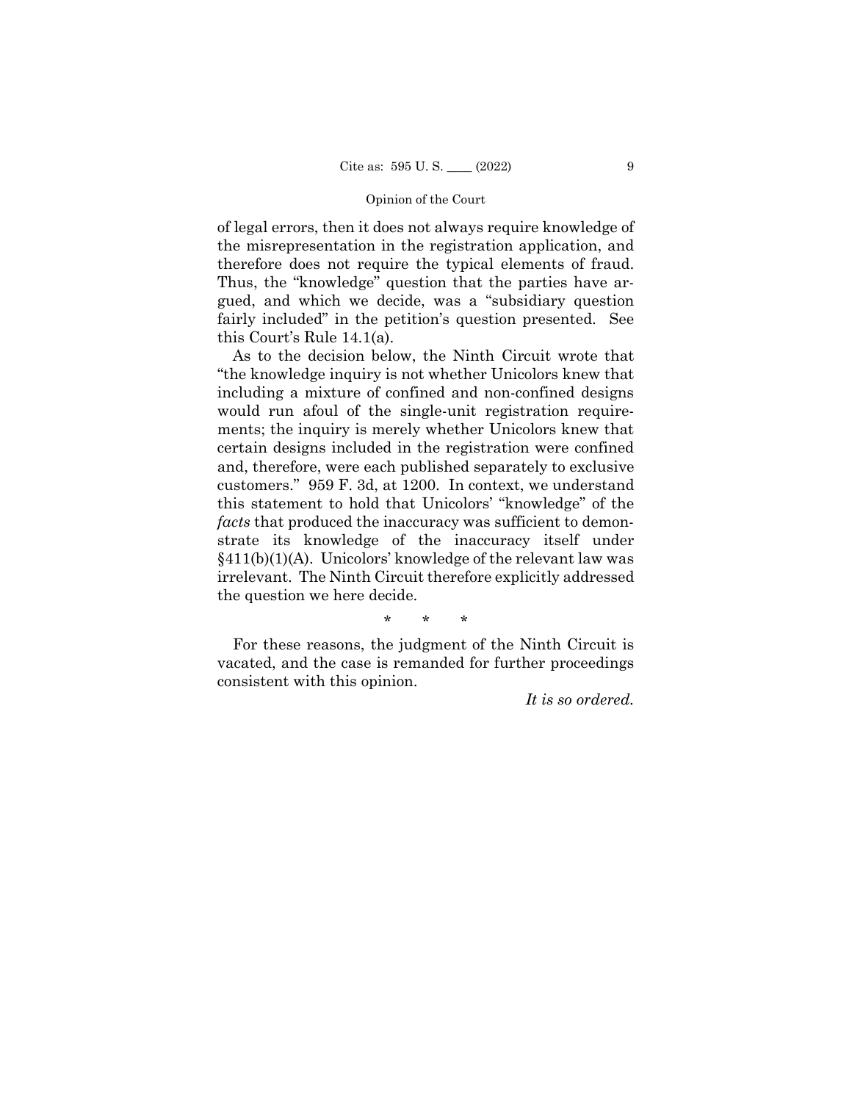of legal errors, then it does not always require knowledge of the misrepresentation in the registration application, and therefore does not require the typical elements of fraud. Thus, the "knowledge" question that the parties have argued, and which we decide, was a "subsidiary question fairly included" in the petition's question presented. See this Court's Rule 14.1(a).

As to the decision below, the Ninth Circuit wrote that "the knowledge inquiry is not whether Unicolors knew that including a mixture of confined and non-confined designs would run afoul of the single-unit registration requirements; the inquiry is merely whether Unicolors knew that certain designs included in the registration were confined and, therefore, were each published separately to exclusive customers." 959 F. 3d, at 1200. In context, we understand this statement to hold that Unicolors' "knowledge" of the *facts* that produced the inaccuracy was sufficient to demonstrate its knowledge of the inaccuracy itself under §411(b)(1)(A). Unicolors' knowledge of the relevant law was irrelevant. The Ninth Circuit therefore explicitly addressed the question we here decide.

\* \* \*

For these reasons, the judgment of the Ninth Circuit is vacated, and the case is remanded for further proceedings consistent with this opinion.

*It is so ordered.*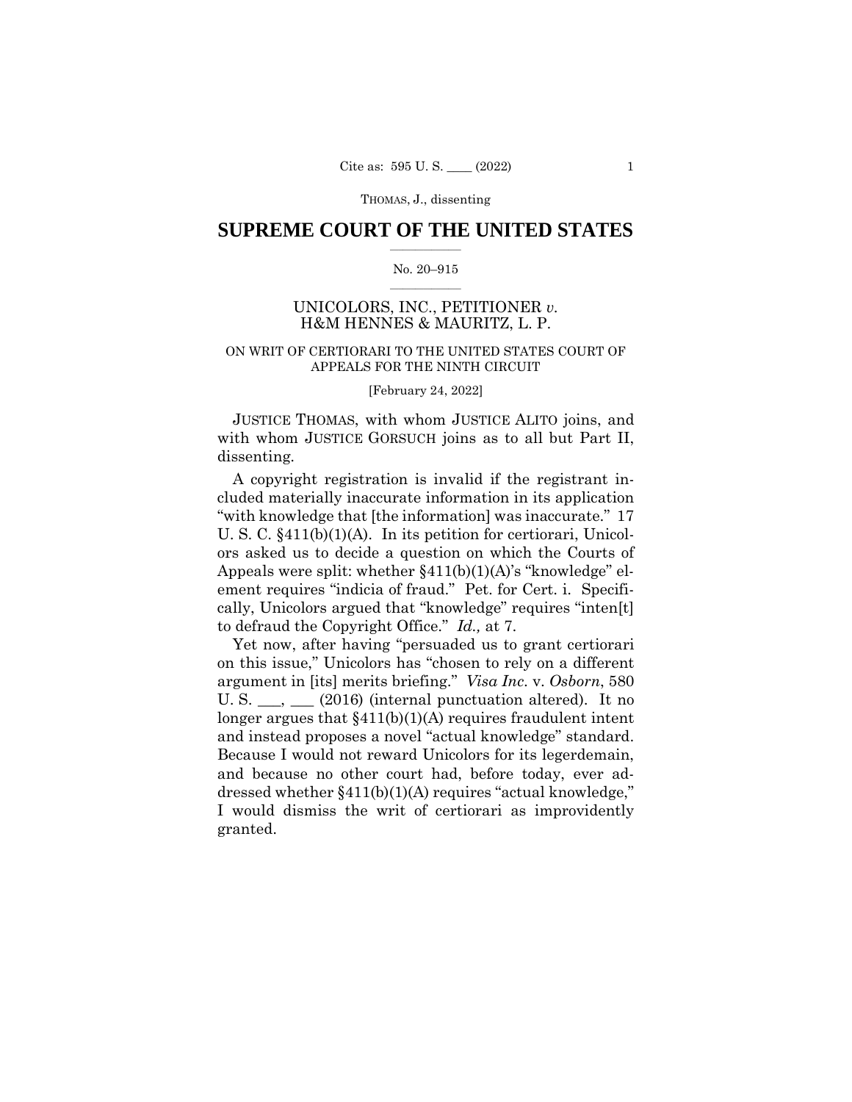# **SUPREME COURT OF THE UNITED STATES**  $\overline{\phantom{a}}$  , where  $\overline{\phantom{a}}$

### No. 20–915  $\overline{\phantom{a}}$  , where  $\overline{\phantom{a}}$

# UNICOLORS, INC., PETITIONER *v.* H&M HENNES & MAURITZ, L. P.

# ON WRIT OF CERTIORARI TO THE UNITED STATES COURT OF APPEALS FOR THE NINTH CIRCUIT

### [February 24, 2022]

 JUSTICE THOMAS, with whom JUSTICE ALITO joins, and with whom JUSTICE GORSUCH joins as to all but Part II, dissenting.

A copyright registration is invalid if the registrant included materially inaccurate information in its application "with knowledge that [the information] was inaccurate." 17 U. S. C. §411(b)(1)(A). In its petition for certiorari, Unicolors asked us to decide a question on which the Courts of Appeals were split: whether §411(b)(1)(A)'s "knowledge" element requires "indicia of fraud." Pet. for Cert. i. Specifically, Unicolors argued that "knowledge" requires "inten[t] to defraud the Copyright Office." *Id.,* at 7.

Yet now, after having "persuaded us to grant certiorari on this issue," Unicolors has "chosen to rely on a different argument in [its] merits briefing." *Visa Inc*. v. *Osborn*, 580 U. S.  $\_\_\_\_\_\_\_\_\$  (2016) (internal punctuation altered). It no longer argues that §411(b)(1)(A) requires fraudulent intent and instead proposes a novel "actual knowledge" standard. Because I would not reward Unicolors for its legerdemain, and because no other court had, before today, ever addressed whether §411(b)(1)(A) requires "actual knowledge," I would dismiss the writ of certiorari as improvidently granted.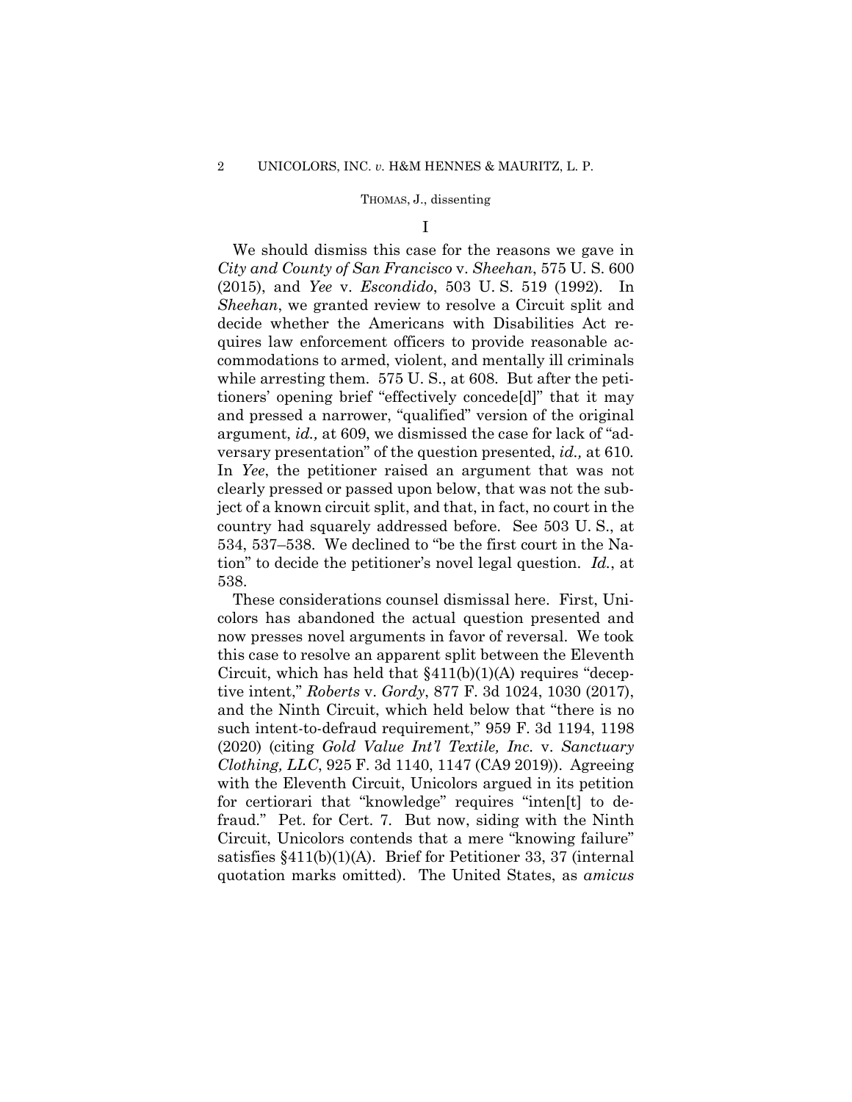I

We should dismiss this case for the reasons we gave in *City and County of San Francisco* v. *Sheehan*, 575 U. S. 600 (2015), and *Yee* v. *Escondido*, 503 U. S. 519 (1992). In *Sheehan*, we granted review to resolve a Circuit split and decide whether the Americans with Disabilities Act requires law enforcement officers to provide reasonable accommodations to armed, violent, and mentally ill criminals while arresting them. 575 U.S., at 608. But after the petitioners' opening brief "effectively concede[d]" that it may and pressed a narrower, "qualified" version of the original argument, *id.,* at 609, we dismissed the case for lack of "adversary presentation" of the question presented, *id.,* at 610*.* In *Yee*, the petitioner raised an argument that was not clearly pressed or passed upon below, that was not the subject of a known circuit split, and that, in fact, no court in the country had squarely addressed before. See 503 U. S., at 534, 537–538. We declined to "be the first court in the Nation" to decide the petitioner's novel legal question. *Id.*, at 538.

These considerations counsel dismissal here. First, Unicolors has abandoned the actual question presented and now presses novel arguments in favor of reversal. We took this case to resolve an apparent split between the Eleventh Circuit, which has held that  $\S411(b)(1)(A)$  requires "deceptive intent," *Roberts* v. *Gordy*, 877 F. 3d 1024, 1030 (2017), and the Ninth Circuit, which held below that "there is no such intent-to-defraud requirement," 959 F. 3d 1194, 1198 (2020) (citing *Gold Value Int'l Textile, Inc.* v. *Sanctuary Clothing, LLC*, 925 F. 3d 1140, 1147 (CA9 2019)). Agreeing with the Eleventh Circuit, Unicolors argued in its petition for certiorari that "knowledge" requires "inten[t] to defraud." Pet. for Cert. 7. But now, siding with the Ninth Circuit, Unicolors contends that a mere "knowing failure" satisfies §411(b)(1)(A). Brief for Petitioner 33, 37 (internal quotation marks omitted). The United States, as *amicus*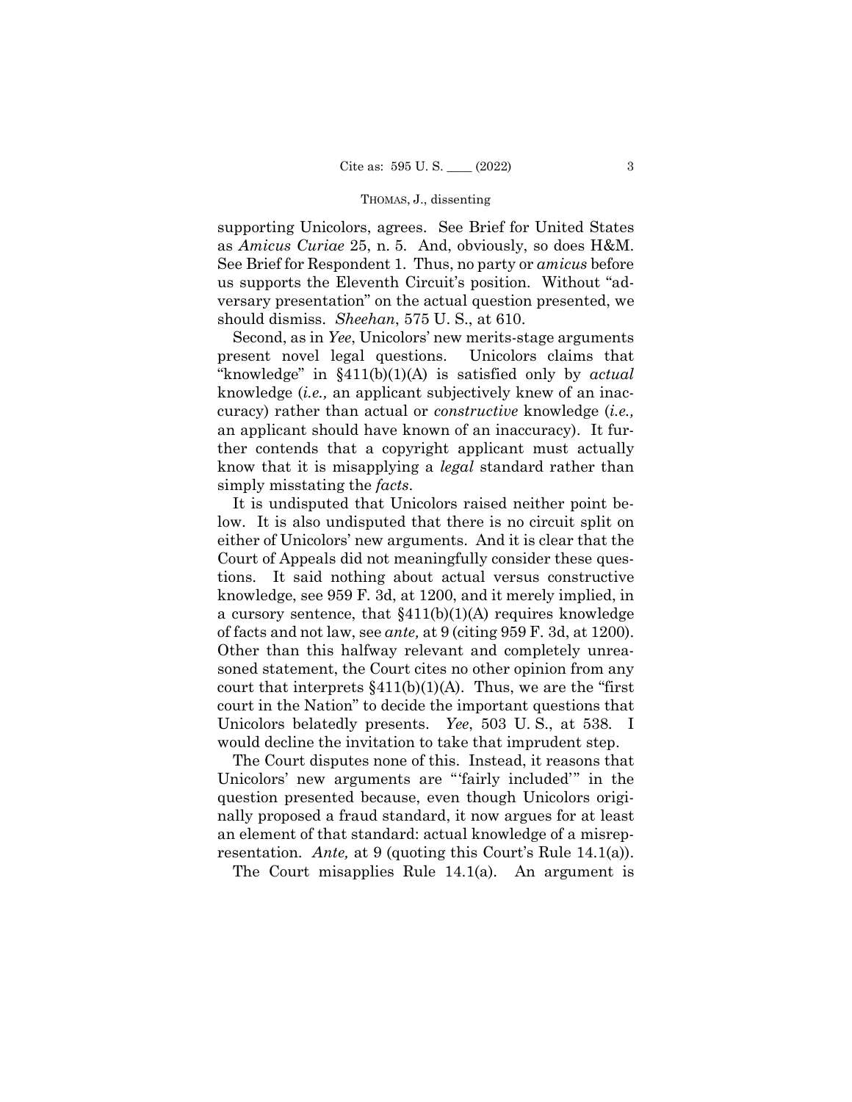supporting Unicolors, agrees. See Brief for United States as *Amicus Curiae* 25, n. 5. And, obviously, so does H&M. See Brief for Respondent 1. Thus, no party or *amicus* before us supports the Eleventh Circuit's position. Without "adversary presentation" on the actual question presented, we should dismiss. *Sheehan*, 575 U. S., at 610.

Second, as in *Yee*, Unicolors' new merits-stage arguments present novel legal questions. Unicolors claims that "knowledge" in §411(b)(1)(A) is satisfied only by *actual* knowledge (*i.e.,* an applicant subjectively knew of an inaccuracy) rather than actual or *constructive* knowledge (*i.e.,* an applicant should have known of an inaccuracy). It further contends that a copyright applicant must actually know that it is misapplying a *legal* standard rather than simply misstating the *facts*.

It is undisputed that Unicolors raised neither point below. It is also undisputed that there is no circuit split on either of Unicolors' new arguments. And it is clear that the Court of Appeals did not meaningfully consider these questions. It said nothing about actual versus constructive knowledge, see 959 F. 3d, at 1200, and it merely implied, in a cursory sentence, that  $$411(b)(1)(A)$  requires knowledge of facts and not law, see *ante,* at 9 (citing 959 F. 3d, at 1200). Other than this halfway relevant and completely unreasoned statement, the Court cites no other opinion from any court that interprets  $\frac{1}{10}(b)(1)(A)$ . Thus, we are the "first" court in the Nation" to decide the important questions that Unicolors belatedly presents. *Yee*, 503 U. S., at 538. I would decline the invitation to take that imprudent step.

The Court disputes none of this. Instead, it reasons that Unicolors' new arguments are "'fairly included'" in the question presented because, even though Unicolors originally proposed a fraud standard, it now argues for at least an element of that standard: actual knowledge of a misrepresentation. *Ante,* at 9 (quoting this Court's Rule 14.1(a)).

The Court misapplies Rule 14.1(a). An argument is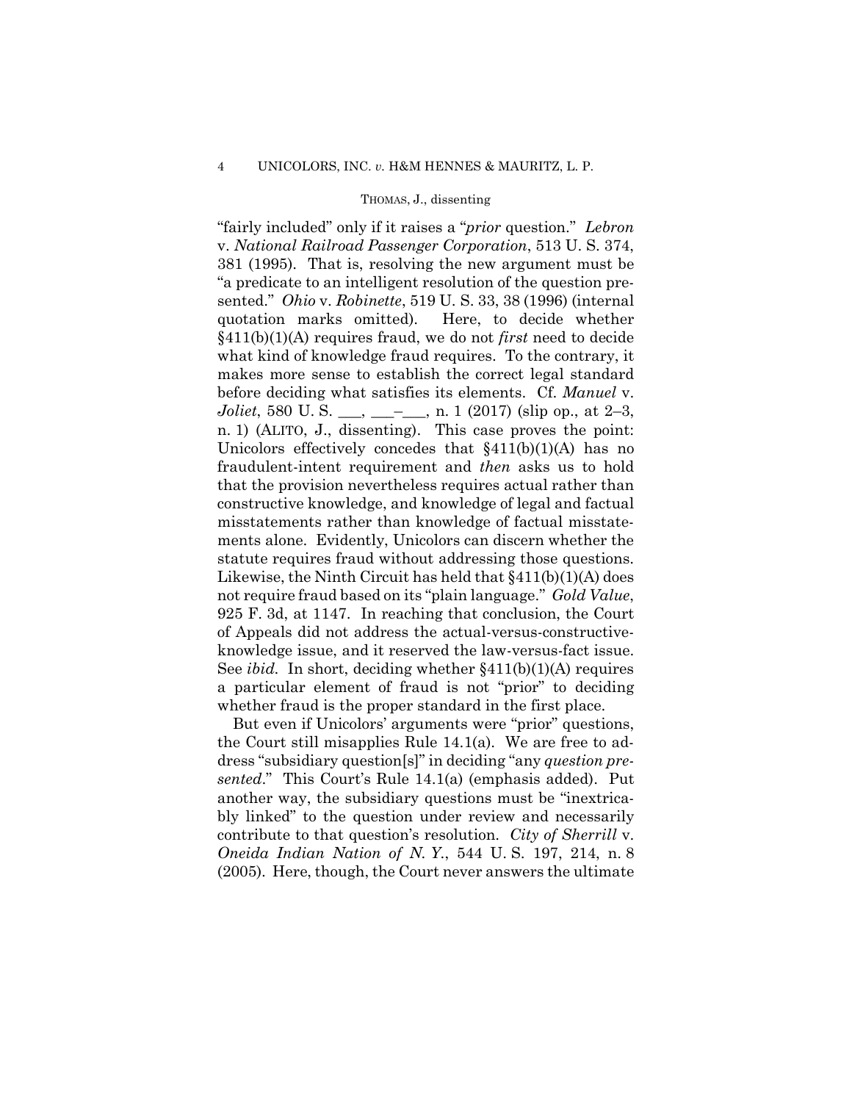"fairly included" only if it raises a "*prior* question." *Lebron* v. *National Railroad Passenger Corporation*, 513 U. S. 374, 381 (1995). That is, resolving the new argument must be "a predicate to an intelligent resolution of the question presented." *Ohio* v. *Robinette*, 519 U. S. 33, 38 (1996) (internal quotation marks omitted). Here, to decide whether §411(b)(1)(A) requires fraud, we do not *first* need to decide what kind of knowledge fraud requires. To the contrary, it makes more sense to establish the correct legal standard before deciding what satisfies its elements. Cf. *Manuel* v. *Joliet*, 580 U.S. \_\_\_, \_\_\_\_\_, n. 1 (2017) (slip op., at 2–3, n. 1) (ALITO, J., dissenting). This case proves the point: Unicolors effectively concedes that  $§411(b)(1)(A)$  has no fraudulent-intent requirement and *then* asks us to hold that the provision nevertheless requires actual rather than constructive knowledge, and knowledge of legal and factual misstatements rather than knowledge of factual misstatements alone. Evidently, Unicolors can discern whether the statute requires fraud without addressing those questions. Likewise, the Ninth Circuit has held that §411(b)(1)(A) does not require fraud based on its "plain language." *Gold Value*, 925 F. 3d, at 1147. In reaching that conclusion, the Court of Appeals did not address the actual-versus-constructiveknowledge issue, and it reserved the law-versus-fact issue. See *ibid.* In short, deciding whether  $§411(b)(1)(A)$  requires a particular element of fraud is not "prior" to deciding whether fraud is the proper standard in the first place.

But even if Unicolors' arguments were "prior" questions, the Court still misapplies Rule 14.1(a). We are free to address "subsidiary question[s]" in deciding "any *question presented*." This Court's Rule 14.1(a) (emphasis added). Put another way, the subsidiary questions must be "inextricably linked" to the question under review and necessarily contribute to that question's resolution. *City of Sherrill* v. *Oneida Indian Nation of N. Y.*, 544 U. S. 197, 214, n. 8 (2005). Here, though, the Court never answers the ultimate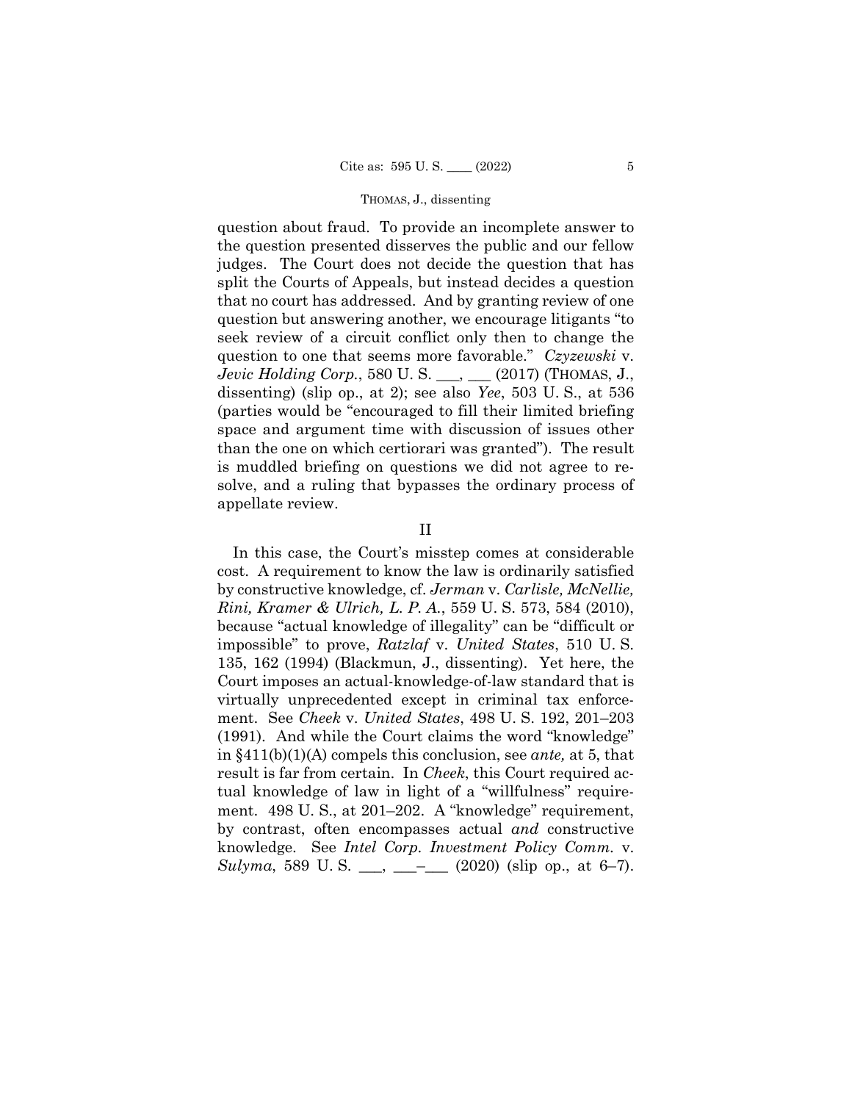question about fraud. To provide an incomplete answer to the question presented disserves the public and our fellow judges. The Court does not decide the question that has split the Courts of Appeals, but instead decides a question that no court has addressed. And by granting review of one question but answering another, we encourage litigants "to seek review of a circuit conflict only then to change the question to one that seems more favorable." *Czyzewski* v. *Jevic Holding Corp.*, 580 U.S. \_\_\_, \_\_\_ (2017) (THOMAS, J., dissenting) (slip op., at 2); see also *Yee*, 503 U. S., at 536 (parties would be "encouraged to fill their limited briefing space and argument time with discussion of issues other than the one on which certiorari was granted"). The result is muddled briefing on questions we did not agree to resolve, and a ruling that bypasses the ordinary process of appellate review.

# II

In this case, the Court's misstep comes at considerable cost. A requirement to know the law is ordinarily satisfied by constructive knowledge, cf. *Jerman* v. *Carlisle, McNellie, Rini, Kramer & Ulrich, L. P. A.*, 559 U. S. 573, 584 (2010), because "actual knowledge of illegality" can be "difficult or impossible" to prove, *Ratzlaf* v. *United States*, 510 U. S. 135, 162 (1994) (Blackmun, J., dissenting). Yet here, the Court imposes an actual-knowledge-of-law standard that is virtually unprecedented except in criminal tax enforcement. See *Cheek* v. *United States*, 498 U. S. 192, 201–203 (1991). And while the Court claims the word "knowledge" in §411(b)(1)(A) compels this conclusion, see *ante,* at 5, that result is far from certain. In *Cheek*, this Court required actual knowledge of law in light of a "willfulness" requirement. 498 U.S., at 201–202. A "knowledge" requirement, by contrast, often encompasses actual *and* constructive knowledge. See *Intel Corp. Investment Policy Comm.* v. *Sulyma*, 589 U.S. \_\_, \_\_\_\_ (2020) (slip op., at 6–7).